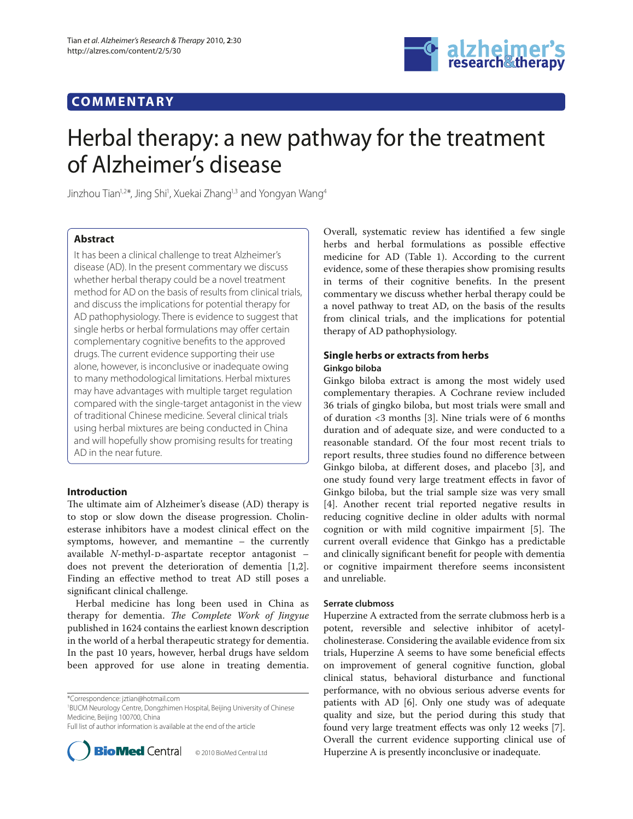# **COMMENTARY**



# Herbal therapy: a new pathway for the treatment of Alzheimer's disease

Jinzhou Tian<sup>1,2</sup>\*, Jing Shi<sup>1</sup>, Xuekai Zhang<sup>1,3</sup> and Yongyan Wang<sup>4</sup>

# **Abstract**

It has been a clinical challenge to treat Alzheimer's disease (AD). In the present commentary we discuss whether herbal therapy could be a novel treatment method for AD on the basis of results from clinical trials, and discuss the implications for potential therapy for AD pathophysiology. There is evidence to suggest that single herbs or herbal formulations may offer certain complementary cognitive benefits to the approved drugs. The current evidence supporting their use alone, however, is inconclusive or inadequate owing to many methodological limitations. Herbal mixtures may have advantages with multiple target regulation compared with the single-target antagonist in the view of traditional Chinese medicine. Several clinical trials using herbal mixtures are being conducted in China and will hopefully show promising results for treating AD in the near future.

# **Introduction**

The ultimate aim of Alzheimer's disease (AD) therapy is to stop or slow down the disease progression. Cholinesterase inhibitors have a modest clinical effect on the symptoms, however, and memantine – the currently available *N*-methyl-p-aspartate receptor antagonist – does not prevent the deterioration of dementia [1,2]. Finding an effective method to treat AD still poses a significant clinical challenge.

Herbal medicine has long been used in China as therapy for dementia. *The Complete Work of Jingyue* published in 1624 contains the earliest known description in the world of a herbal therapeutic strategy for dementia. In the past 10 years, however, herbal drugs have seldom been approved for use alone in treating dementia.

1 BUCM Neurology Centre, Dongzhimen Hospital, Beijing University of Chinese Medicine, Beijing 100700, China

Full list of author information is available at the end of the article



© 2010 BioMed Central Ltd

Overall, systematic review has identified a few single herbs and herbal formulations as possible effective medicine for AD (Table 1). According to the current evidence, some of these therapies show promising results in terms of their cognitive benefits. In the present commentary we discuss whether herbal therapy could be a novel pathway to treat AD, on the basis of the results from clinical trials, and the implications for potential therapy of AD pathophysiology.

# **Single herbs or extracts from herbs Ginkgo biloba**

Ginkgo biloba extract is among the most widely used complementary therapies. A Cochrane review included 36 trials of gingko biloba, but most trials were small and of duration <3 months [3]. Nine trials were of 6 months duration and of adequate size, and were conducted to a reasonable standard. Of the four most recent trials to report results, three studies found no difference between Ginkgo biloba, at different doses, and placebo [3], and one study found very large treatment effects in favor of Ginkgo biloba, but the trial sample size was very small [4]. Another recent trial reported negative results in reducing cognitive decline in older adults with normal cognition or with mild cognitive impairment  $[5]$ . The current overall evidence that Ginkgo has a predictable and clinically significant benefit for people with dementia or cognitive impairment therefore seems inconsistent and unreliable.

# **Serrate clubmoss**

Huperzine A extracted from the serrate clubmoss herb is a potent, reversible and selective inhibitor of acetylcholinesterase. Considering the available evidence from six trials, Huperzine A seems to have some beneficial effects on improvement of general cognitive function, global clinical status, behavioral disturbance and functional performance, with no obvious serious adverse events for patients with AD [6]. Only one study was of adequate quality and size, but the period during this study that found very large treatment effects was only 12 weeks [7]. Overall the current evidence supporting clinical use of Huperzine A is presently inconclusive or inadequate.

<sup>\*</sup>Correspondence: jztian@hotmail.com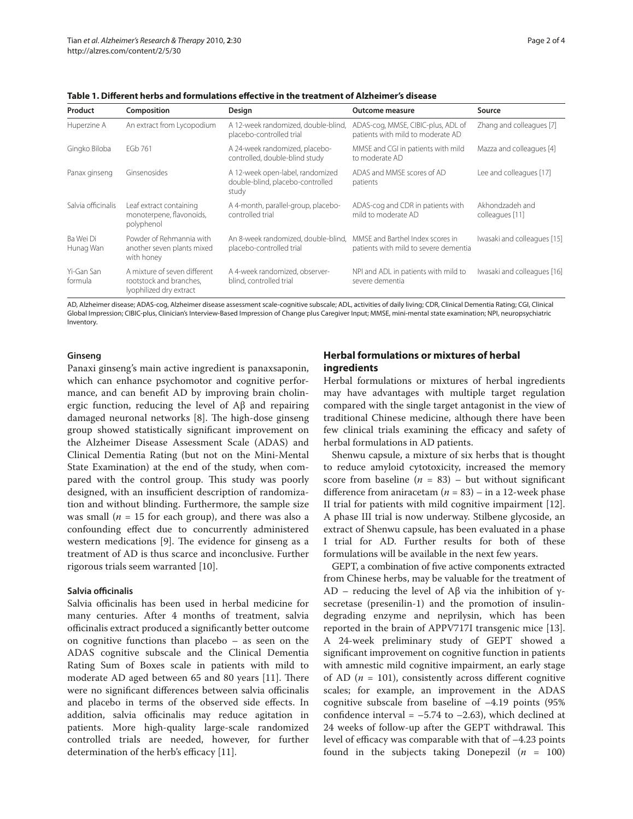| Product                | Composition                                                                        | Design                                                                        | Outcome measure                                                           | Source                             |
|------------------------|------------------------------------------------------------------------------------|-------------------------------------------------------------------------------|---------------------------------------------------------------------------|------------------------------------|
| Huperzine A            | An extract from Lycopodium                                                         | A 12-week randomized, double-blind,<br>placebo-controlled trial               | ADAS-cog, MMSE, CIBIC-plus, ADL of<br>patients with mild to moderate AD   | Zhang and colleagues [7]           |
| Gingko Biloba          | FGb 761                                                                            | A 24-week randomized, placebo-<br>controlled, double-blind study              | MMSE and CGI in patients with mild<br>to moderate AD                      | Mazza and colleagues [4]           |
| Panax ginseng          | Ginsenosides                                                                       | A 12-week open-label, randomized<br>double-blind, placebo-controlled<br>study | ADAS and MMSE scores of AD<br>patients                                    | Lee and colleagues [17]            |
| Salvia officinalis     | Leaf extract containing<br>monoterpene, flavonoids,<br>polyphenol                  | A 4-month, parallel-group, placebo-<br>controlled trial                       | ADAS-cog and CDR in patients with<br>mild to moderate AD                  | Akhondzadeh and<br>colleagues [11] |
| Ba Wei Di<br>Hunag Wan | Powder of Rehmannia with<br>another seven plants mixed<br>with honey               | An 8-week randomized, double-blind,<br>placebo-controlled trial               | MMSE and Barthel Index scores in<br>patients with mild to severe dementia | Iwasaki and colleagues [15]        |
| Yi-Gan San<br>formula  | A mixture of seven different<br>rootstock and branches,<br>lyophilized dry extract | A 4-week randomized, observer-<br>blind, controlled trial                     | NPI and ADL in patients with mild to<br>severe dementia                   | Iwasaki and colleagues [16]        |

Table 1. Different herbs and formulations effective in the treatment of Alzheimer's disease

AD, Alzheimer disease; ADAS-cog, Alzheimer disease assessment scale-cognitive subscale; ADL, activities of daily living; CDR, Clinical Dementia Rating; CGI, Clinical Global Impression; CIBIC-plus, Clinician's Interview-Based Impression of Change plus Caregiver Input; MMSE, mini-mental state examination; NPI, neuropsychiatric Inventory.

#### **Ginseng**

Panaxi ginseng's main active ingredient is panaxsaponin, which can enhance psychomotor and cognitive performance, and can benefit AD by improving brain cholinergic function, reducing the level of Aβ and repairing damaged neuronal networks [8]. The high-dose ginseng group showed statistically significant improvement on the Alzheimer Disease Assessment Scale (ADAS) and Clinical Dementia Rating (but not on the Mini-Mental State Examination) at the end of the study, when compared with the control group. This study was poorly designed, with an insufficient description of randomization and without blinding. Furthermore, the sample size was small ( $n = 15$  for each group), and there was also a confounding effect due to concurrently administered western medications  $[9]$ . The evidence for ginseng as a treatment of AD is thus scarce and inconclusive. Further rigorous trials seem warranted [10].

## **Salvia officinalis**

Salvia officinalis has been used in herbal medicine for many centuries. After 4 months of treatment, salvia officinalis extract produced a significantly better outcome on cognitive functions than placebo – as seen on the ADAS cognitive subscale and the Clinical Dementia Rating Sum of Boxes scale in patients with mild to moderate AD aged between  $65$  and  $80$  years  $[11]$ . There were no significant differences between salvia officinalis and placebo in terms of the observed side effects. In addition, salvia officinalis may reduce agitation in patients. More high-quality large-scale randomized controlled trials are needed, however, for further determination of the herb's efficacy [11].

# **Herbal formulations or mixtures of herbal ingredients**

Herbal formulations or mixtures of herbal ingredients may have advantages with multiple target regulation compared with the single target antagonist in the view of traditional Chinese medicine, although there have been few clinical trials examining the efficacy and safety of herbal formulations in AD patients.

Shenwu capsule, a mixture of six herbs that is thought to reduce amyloid cytotoxicity, increased the memory score from baseline  $(n = 83)$  – but without significant difference from aniracetam  $(n = 83)$  – in a 12-week phase II trial for patients with mild cognitive impairment [12]. A phase III trial is now underway. Stilbene glycoside, an extract of Shenwu capsule, has been evaluated in a phase I trial for AD. Further results for both of these formulations will be available in the next few years.

GEPT, a combination of five active components extracted from Chinese herbs, may be valuable for the treatment of AD – reducing the level of Aβ via the inhibition of  $\gamma$ secretase (presenilin-1) and the promotion of insulindegrading enzyme and neprilysin, which has been reported in the brain of APPV717I transgenic mice [13]. A 24-week preliminary study of GEPT showed a significant improvement on cognitive function in patients with amnestic mild cognitive impairment, an early stage of AD ( $n = 101$ ), consistently across different cognitive scales; for example, an improvement in the ADAS cognitive subscale from baseline of –4.19 points (95% confidence interval =  $-5.74$  to  $-2.63$ ), which declined at 24 weeks of follow-up after the GEPT withdrawal. This level of efficacy was comparable with that of  $-4.23$  points found in the subjects taking Donepezil (*n* = 100)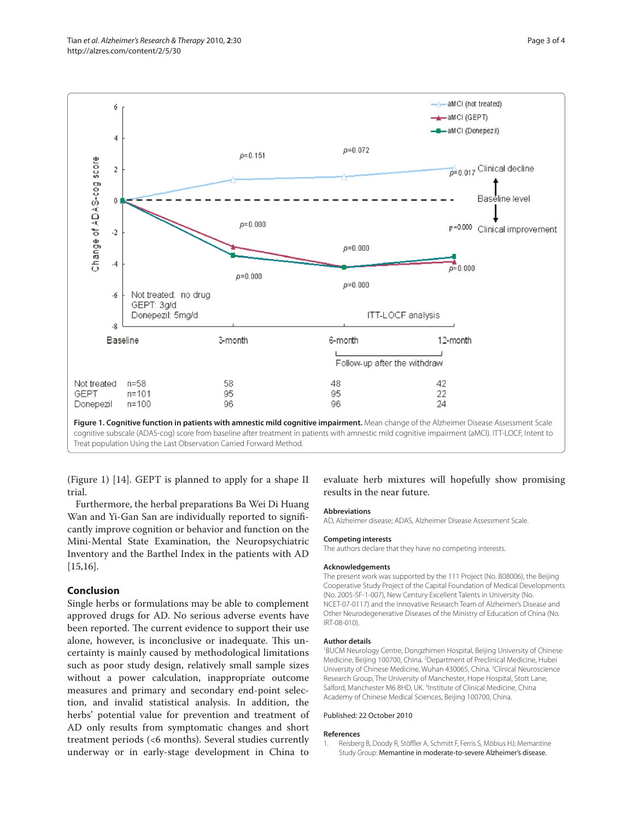

(Figure 1) [14]. GEPT is planned to apply for a shape II trial.

Furthermore, the herbal preparations Ba Wei Di Huang Wan and Yi-Gan San are individually reported to significantly improve cognition or behavior and function on the Mini-Mental State Examination, the Neuropsychiatric Inventory and the Barthel Index in the patients with AD [15,16].

# **Conclusion**

Single herbs or formulations may be able to complement approved drugs for AD. No serious adverse events have been reported. The current evidence to support their use alone, however, is inconclusive or inadequate. This uncertainty is mainly caused by methodological limitations such as poor study design, relatively small sample sizes without a power calculation, inappropriate outcome measures and primary and secondary end-point selection, and invalid statistical analysis. In addition, the herbs' potential value for prevention and treatment of AD only results from symptomatic changes and short treatment periods (<6 months). Several studies currently underway or in early-stage development in China to

# evaluate herb mixtures will hopefully show promising results in the near future.

## **Abbreviations**

AD, Alzheimer disease; ADAS, Alzheimer Disease Assessment Scale.

#### **Competing interests**

The authors declare that they have no competing interests.

#### **Acknowledgements**

The present work was supported by the 111 Project (No. B08006), the Beijing Cooperative Study Project of the Capital Foundation of Medical Developments (No. 2005-SF-1-007), New Century Excellent Talents in University (No. NCET-07-0117) and the Innovative Research Team of Alzheimer's Disease and Other Neurodegenerative Diseases of the Ministry of Education of China (No. IRT-08-010).

#### **Author details**

1 BUCM Neurology Centre, Dongzhimen Hospital, Beijing University of Chinese Medicine, Beijing 100700, China. 2 Department of Preclinical Medicine, Hubei University of Chinese Medicine, Wuhan 430065, China. <sup>3</sup>Clinical Neuroscience Research Group, The University of Manchester, Hope Hospital, Stott Lane, Salford, Manchester M6 8HD, UK. <sup>4</sup>Institute of Clinical Medicine, China Academy of Chinese Medical Sciences, Beijing 100700, China.

#### Published: 22 October 2010

#### **References**

1. Reisberg B, Doody R, Stöffler A, Schmitt F, Ferris S, Möbius HJ; Memantine Study Group: Memantine in moderate-to-severe Alzheimer's disease.